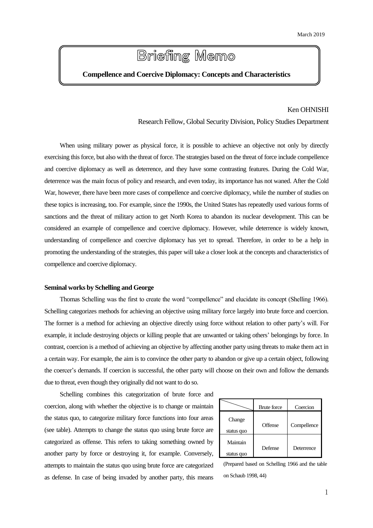# **Briefing Memo**

# **Compellence and Coercive Diplomacy: Concepts and Characteristics**

# Ken OHNISHI

Research Fellow, Global Security Division, Policy Studies Department

When using military power as physical force, it is possible to achieve an objective not only by directly exercising this force, but also with the threat of force. The strategies based on the threat of force include compellence and coercive diplomacy as well as deterrence, and they have some contrasting features. During the Cold War, deterrence was the main focus of policy and research, and even today, its importance has not waned. After the Cold War, however, there have been more cases of compellence and coercive diplomacy, while the number of studies on these topics is increasing, too. For example, since the 1990s, the United States has repeatedly used various forms of sanctions and the threat of military action to get North Korea to abandon its nuclear development. This can be considered an example of compellence and coercive diplomacy. However, while deterrence is widely known, understanding of compellence and coercive diplomacy has yet to spread. Therefore, in order to be a help in promoting the understanding of the strategies, this paper will take a closer look at the concepts and characteristics of compellence and coercive diplomacy.

### **Seminal works by Schelling and George**

Thomas Schelling was the first to create the word "compellence" and elucidate its concept (Shelling 1966). Schelling categorizes methods for achieving an objective using military force largely into brute force and coercion. The former is a method for achieving an objective directly using force without relation to other party's will. For example, it include destroying objects or killing people that are unwanted or taking others' belongings by force. In contrast, coercion is a method of achieving an objective by affecting another party using threats to make them act in a certain way. For example, the aim is to convince the other party to abandon or give up a certain object, following the coercer's demands. If coercion is successful, the other party will choose on their own and follow the demands due to threat, even though they originally did not want to do so.

Schelling combines this categorization of brute force and coercion, along with whether the objective is to change or maintain the status quo, to categorize military force functions into four areas (see table). Attempts to change the status quo using brute force are categorized as offense. This refers to taking something owned by another party by force or destroying it, for example. Conversely, attempts to maintain the status quo using brute force are categorized as defense. In case of being invaded by another party, this means

|                        | <b>Brute</b> force | Coercion    |
|------------------------|--------------------|-------------|
| Change<br>status quo   | Offense            | Compellence |
| Maintain<br>status quo | Defense            | Deterrence  |

(Prepared based on Schelling 1966 and the table on Schaub 1998, 44)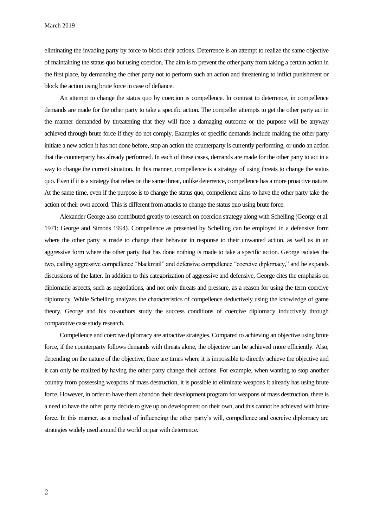March 2019

eliminating the invading party by force to block their actions. Deterrence is an attempt to realize the same objective of maintaining the status quo but using coercion. The aim is to prevent the other party from taking a certain action in the first place, by demanding the other party not to perform such an action and threatening to inflict punishment or block the action using brute force in case of defiance.

An attempt to change the status quo by coercion is compellence. In contrast to deterrence, in compellence demands are made for the other party to take a specific action. The compeller attempts to get the other party act in the manner demanded by threatening that they will face a damaging outcome or the purpose will be anyway achieved through brute force if they do not comply. Examples of specific demands include making the other party initiate a new action it has not done before, stop an action the counterparty is currently performing, or undo an action that the counterparty has already performed. In each of these cases, demands are made for the other party to act in a way to change the current situation. In this manner, compellence is a strategy of using threats to change the status quo. Even if it is a strategy that relies on the same threat, unlike deterrence, compellence has a more proactive nature. At the same time, even if the purpose is to change the status quo, compellence aims to have the other party take the action of their own accord. Thisis different from attacks to change the status quo using brute force.

Alexander George also contributed greatly to research on coercion strategy along with Schelling (George et al. 1971; George and Simons 1994). Compellence as presented by Schelling can be employed in a defensive form where the other party is made to change their behavior in response to their unwanted action, as well as in an aggressive form where the other party that has done nothing is made to take a specific action. George isolates the two, calling aggressive compellence "blackmail" and defensive compellence "coercive diplomacy," and he expands discussions of the latter. In addition to this categorization of aggressive and defensive, George cites the emphasis on diplomatic aspects, such as negotiations, and not only threats and pressure, as a reason for using the term coercive diplomacy. While Schelling analyzes the characteristics of compellence deductively using the knowledge of game theory, George and his co-authors study the success conditions of coercive diplomacy inductively through comparative case study research.

Compellence and coercive diplomacy are attractive strategies. Compared to achieving an objective using brute force, if the counterparty follows demands with threats alone, the objective can be achieved more efficiently. Also, depending on the nature of the objective, there are times where it is impossible to directly achieve the objective and it can only be realized by having the other party change their actions. For example, when wanting to stop another country from possessing weapons of mass destruction, it is possible to eliminate weapons it already has using brute force. However, in order to have them abandon their development program for weapons of mass destruction, there is a need to have the other party decide to give up on development on their own, and this cannot be achieved with brute force. In this manner, as a method of influencing the other party's will, compellence and coercive diplomacy are strategies widely used around the world on par with deterrence.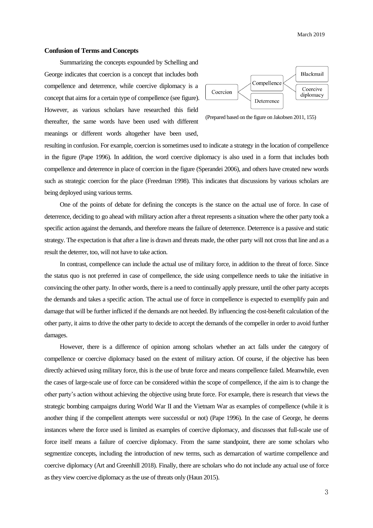#### **Confusion of Terms and Concepts**

Summarizing the concepts expounded by Schelling and George indicates that coercion is a concept that includes both compellence and deterrence, while coercive diplomacy is a concept that aims for a certain type of compellence (see figure). However, as various scholars have researched this field thereafter, the same words have been used with different meanings or different words altogether have been used,



(Prepared based on the figure on Jakobsen 2011, 155)

resulting in confusion. For example, coercion is sometimes used to indicate a strategy in the location of compellence in the figure (Pape 1996). In addition, the word coercive diplomacy is also used in a form that includes both compellence and deterrence in place of coercion in the figure (Sperandei 2006), and others have created new words such as strategic coercion for the place (Freedman 1998). This indicates that discussions by various scholars are being deployed using various terms.

One of the points of debate for defining the concepts is the stance on the actual use of force. In case of deterrence, deciding to go ahead with military action after a threat represents a situation where the other party took a specific action against the demands, and therefore means the failure of deterrence. Deterrence is a passive and static strategy. The expectation is that after a line is drawn and threats made, the other party will not cross that line and as a result the deterrer, too, will not have to take action.

In contrast, compellence can include the actual use of military force, in addition to the threat of force. Since the status quo is not preferred in case of compellence, the side using compellence needs to take the initiative in convincing the other party. In other words, there is a need to continually apply pressure, until the other party accepts the demands and takes a specific action. The actual use of force in compellence is expected to exemplify pain and damage that will be further inflicted if the demands are not heeded. By influencing the cost-benefit calculation of the other party, it aims to drive the other party to decide to accept the demands of the compeller in order to avoid further damages.

However, there is a difference of opinion among scholars whether an act falls under the category of compellence or coercive diplomacy based on the extent of military action. Of course, if the objective has been directly achieved using military force, this is the use of brute force and means compellence failed. Meanwhile, even the cases of large-scale use of force can be considered within the scope of compellence, if the aim is to change the other party's action without achieving the objective using brute force. For example, there is research that views the strategic bombing campaigns during World War II and the Vietnam War as examples of compellence (while it is another thing if the compellent attempts were successful or not) (Pape 1996). In the case of George, he deems instances where the force used is limited as examples of coercive diplomacy, and discusses that full-scale use of force itself means a failure of coercive diplomacy. From the same standpoint, there are some scholars who segmentize concepts, including the introduction of new terms, such as demarcation of wartime compellence and coercive diplomacy (Art and Greenhill 2018). Finally, there are scholars who do not include any actual use of force as they view coercive diplomacy as the use of threats only (Haun 2015).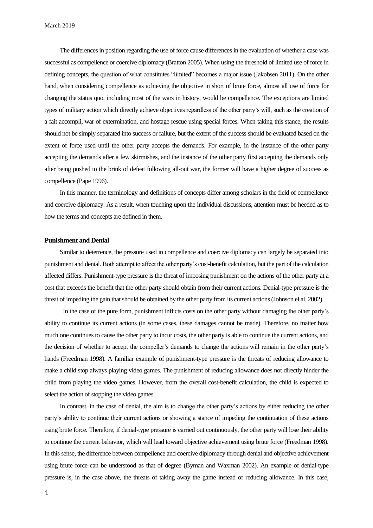The differences in position regarding the use of force cause differences in the evaluation of whether a case was successful as compellence or coercive diplomacy (Bratton 2005). When using the threshold of limited use of force in defining concepts, the question of what constitutes "limited" becomes a major issue (Jakobsen 2011). On the other hand, when considering compellence as achieving the objective in short of brute force, almost all use of force for changing the status quo, including most of the wars in history, would be compellence. The exceptions are limited types of military action which directly achieve objectives regardless of the other party's will, such as the creation of a fait accompli, war of extermination, and hostage rescue using special forces. When taking this stance, the results should not be simply separated into success or failure, but the extent of the success should be evaluated based on the extent of force used until the other party accepts the demands. For example, in the instance of the other party accepting the demands after a few skirmishes, and the instance of the other party first accepting the demands only after being pushed to the brink of defeat following all-out war, the former will have a higher degree of success as compellence (Pape 1996).

In this manner, the terminology and definitions of concepts differ among scholars in the field of compellence and coercive diplomacy. As a result, when touching upon the individual discussions, attention must be heeded as to how the terms and concepts are defined in them.

#### **Punishment and Denial**

Similar to deterrence, the pressure used in compellence and coercive diplomacy can largely be separated into punishment and denial. Both attempt to affect the other party's cost-benefit calculation, but the part of the calculation affected differs. Punishment-type pressure is the threat of imposing punishment on the actions of the other party at a cost that exceeds the benefit that the other party should obtain from their current actions. Denial-type pressure is the threat of impeding the gain that should be obtained by the other party from its current actions (Johnson el al. 2002).

In the case of the pure form, punishment inflicts costs on the other party without damaging the other party's ability to continue its current actions (in some cases, these damages cannot be made). Therefore, no matter how much one continues to cause the other party to incur costs, the other party is able to continue the current actions, and the decision of whether to accept the compeller's demands to change the actions will remain in the other party's hands (Freedman 1998). A familiar example of punishment-type pressure is the threats of reducing allowance to make a child stop always playing video games. The punishment of reducing allowance does not directly hinder the child from playing the video games. However, from the overall cost-benefit calculation, the child is expected to select the action of stopping the video games.

In contrast, in the case of denial, the aim is to change the other party's actions by either reducing the other party's ability to continue their current actions or showing a stance of impeding the continuation of these actions using brute force. Therefore, if denial-type pressure is carried out continuously, the other party will lose their ability to continue the current behavior, which will lead toward objective achievement using brute force (Freedman 1998). In this sense, the difference between compellence and coercive diplomacy through denial and objective achievement using brute force can be understood as that of degree (Byman and Waxman 2002). An example of denial-type pressure is, in the case above, the threats of taking away the game instead of reducing allowance. In this case,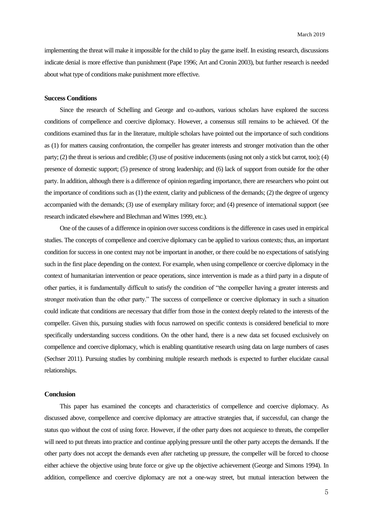implementing the threat will make it impossible for the child to play the game itself. In existing research, discussions indicate denial is more effective than punishment (Pape 1996; Art and Cronin 2003), but further research is needed about what type of conditions make punishment more effective.

#### **Success Conditions**

Since the research of Schelling and George and co-authors, various scholars have explored the success conditions of compellence and coercive diplomacy. However, a consensus still remains to be achieved. Of the conditions examined thus far in the literature, multiple scholars have pointed out the importance of such conditions as (1) for matters causing confrontation, the compeller has greater interests and stronger motivation than the other party; (2) the threat is serious and credible; (3) use of positive inducements (using not only a stick but carrot, too); (4) presence of domestic support; (5) presence of strong leadership; and (6) lack of support from outside for the other party. In addition, although there is a difference of opinion regarding importance, there are researchers who point out the importance of conditions such as (1) the extent, clarity and publicness of the demands; (2) the degree of urgency accompanied with the demands; (3) use of exemplary military force; and (4) presence of international support (see research indicated elsewhere and Blechman and Wittes 1999, etc.).

One of the causes of a difference in opinion over success conditions is the difference in cases used in empirical studies. The concepts of compellence and coercive diplomacy can be applied to various contexts; thus, an important condition for success in one context may not be important in another, or there could be no expectations of satisfying such in the first place depending on the context. For example, when using compellence or coercive diplomacy in the context of humanitarian intervention or peace operations, since intervention is made as a third party in a dispute of other parties, it is fundamentally difficult to satisfy the condition of "the compeller having a greater interests and stronger motivation than the other party." The success of compellence or coercive diplomacy in such a situation could indicate that conditions are necessary that differ from those in the context deeply related to the interests of the compeller. Given this, pursuing studies with focus narrowed on specific contexts is considered beneficial to more specifically understanding success conditions. On the other hand, there is a new data set focused exclusively on compellence and coercive diplomacy, which is enabling quantitative research using data on large numbers of cases (Sechser 2011). Pursuing studies by combining multiple research methods is expected to further elucidate causal relationships.

## **Conclusion**

This paper has examined the concepts and characteristics of compellence and coercive diplomacy. As discussed above, compellence and coercive diplomacy are attractive strategies that, if successful, can change the status quo without the cost of using force. However, if the other party does not acquiesce to threats, the compeller will need to put threats into practice and continue applying pressure until the other party accepts the demands. If the other party does not accept the demands even after ratcheting up pressure, the compeller will be forced to choose either achieve the objective using brute force or give up the objective achievement (George and Simons 1994). In addition, compellence and coercive diplomacy are not a one-way street, but mutual interaction between the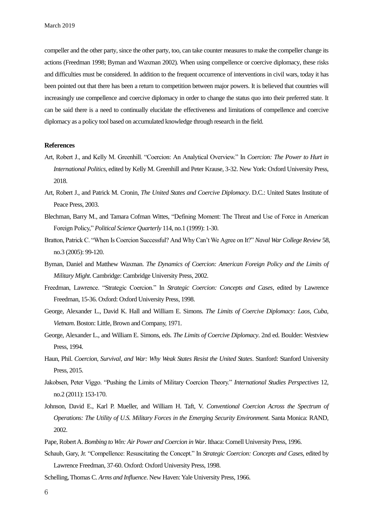compeller and the other party, since the other party, too, can take counter measures to make the compeller change its actions (Freedman 1998; Byman and Waxman 2002). When using compellence or coercive diplomacy, these risks and difficulties must be considered. In addition to the frequent occurrence of interventions in civil wars, today it has been pointed out that there has been a return to competition between major powers. It is believed that countries will increasingly use compellence and coercive diplomacy in order to change the status quo into their preferred state. It can be said there is a need to continually elucidate the effectiveness and limitations of compellence and coercive diplomacy as a policy tool based on accumulated knowledge through research in the field.

#### **References**

- Art, Robert J., and Kelly M. Greenhill. "Coercion: An Analytical Overview." In *Coercion: The Power to Hurt in International Politics*, edited by Kelly M. Greenhill and Peter Krause, 3-32. New York: Oxford University Press, 2018.
- Art, Robert J., and Patrick M. Cronin, *The United States and Coercive Diplomacy*. D.C.: United States Institute of Peace Press, 2003.
- Blechman, Barry M., and Tamara Cofman Wittes, "Defining Moment: The Threat and Use of Force in American Foreign Policy," *Political Science Quarterly* 114, no.1 (1999): 1-30.
- Bratton, Patrick C. "When Is Coercion Successful? And Why Can't We Agree on It?" *Naval War College Review* 58, no.3 (2005): 99-120.
- Byman, Daniel and Matthew Waxman. *The Dynamics of Coercion: American Foreign Policy and the Limits of Military Might*. Cambridge: Cambridge University Press, 2002.
- Freedman, Lawrence. "Strategic Coercion." In *Strategic Coercion: Concepts and Cases*, edited by Lawrence Freedman, 15-36. Oxford: Oxford University Press, 1998.
- George, Alexander L., David K. Hall and William E. Simons. *The Limits of Coercive Diplomacy: Laos, Cuba, Vietnam*. Boston: Little, Brown and Company, 1971.
- George, Alexander L., and William E. Simons, eds. *The Limits of Coercive Diplomacy*. 2nd ed. Boulder: Westview Press, 1994.
- Haun, Phil. *Coercion, Survival, and War: Why Weak States Resist the United States*. Stanford: Stanford University Press, 2015.
- Jakobsen, Peter Viggo. "Pushing the Limits of Military Coercion Theory." *International Studies Perspectives* 12, no.2 (2011): 153-170.
- Johnson, David E., Karl P. Mueller, and William H. Taft, V. *Conventional Coercion Across the Spectrum of Operations: The Utility of U.S. Military Forces in the Emerging Security Environment*. Santa Monica: RAND, 2002.
- Pape, Robert A. *Bombing to Win: Air Power and Coercion in War*. Ithaca: Cornell University Press, 1996.
- Schaub, Gary, Jr. "Compellence: Resuscitating the Concept." In *Strategic Coercion: Concepts and Cases*, edited by Lawrence Freedman, 37-60. Oxford: Oxford University Press, 1998.
- Schelling, Thomas C. *Arms and Influence*. New Haven: Yale University Press, 1966.